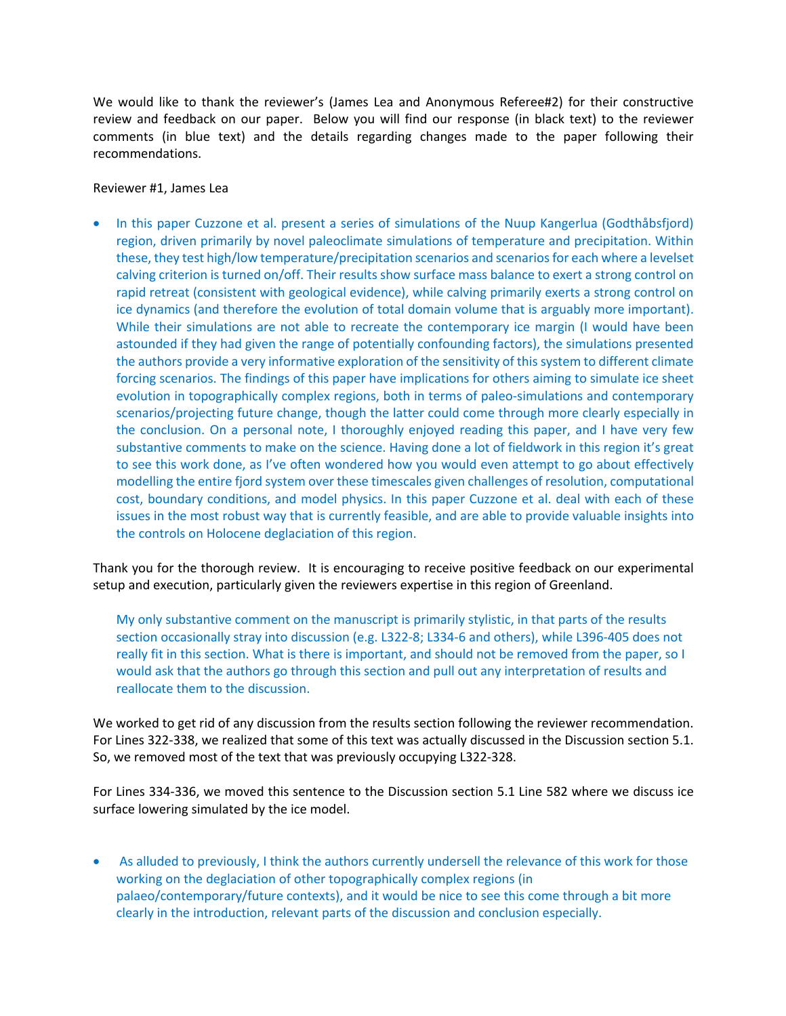We would like to thank the reviewer's (James Lea and Anonymous Referee#2) for their constructive review and feedback on our paper. Below you will find our response (in black text) to the reviewer comments (in blue text) and the details regarding changes made to the paper following their recommendations.

## Reviewer #1, James Lea

• In this paper Cuzzone et al. present a series of simulations of the Nuup Kangerlua (Godthåbsfjord) region, driven primarily by novel paleoclimate simulations of temperature and precipitation. Within these, they test high/low temperature/precipitation scenarios and scenarios for each where a levelset calving criterion is turned on/off. Their results show surface mass balance to exert a strong control on rapid retreat (consistent with geological evidence), while calving primarily exerts a strong control on ice dynamics (and therefore the evolution of total domain volume that is arguably more important). While their simulations are not able to recreate the contemporary ice margin (I would have been astounded if they had given the range of potentially confounding factors), the simulations presented the authors provide a very informative exploration of the sensitivity of this system to different climate forcing scenarios. The findings of this paper have implications for others aiming to simulate ice sheet evolution in topographically complex regions, both in terms of paleo-simulations and contemporary scenarios/projecting future change, though the latter could come through more clearly especially in the conclusion. On a personal note, I thoroughly enjoyed reading this paper, and I have very few substantive comments to make on the science. Having done a lot of fieldwork in this region it's great to see this work done, as I've often wondered how you would even attempt to go about effectively modelling the entire fjord system over these timescales given challenges of resolution, computational cost, boundary conditions, and model physics. In this paper Cuzzone et al. deal with each of these issues in the most robust way that is currently feasible, and are able to provide valuable insights into the controls on Holocene deglaciation of this region.

Thank you for the thorough review. It is encouraging to receive positive feedback on our experimental setup and execution, particularly given the reviewers expertise in this region of Greenland.

My only substantive comment on the manuscript is primarily stylistic, in that parts of the results section occasionally stray into discussion (e.g. L322-8; L334-6 and others), while L396-405 does not really fit in this section. What is there is important, and should not be removed from the paper, so I would ask that the authors go through this section and pull out any interpretation of results and reallocate them to the discussion.

We worked to get rid of any discussion from the results section following the reviewer recommendation. For Lines 322-338, we realized that some of this text was actually discussed in the Discussion section 5.1. So, we removed most of the text that was previously occupying L322-328.

For Lines 334-336, we moved this sentence to the Discussion section 5.1 Line 582 where we discuss ice surface lowering simulated by the ice model.

• As alluded to previously, I think the authors currently undersell the relevance of this work for those working on the deglaciation of other topographically complex regions (in palaeo/contemporary/future contexts), and it would be nice to see this come through a bit more clearly in the introduction, relevant parts of the discussion and conclusion especially.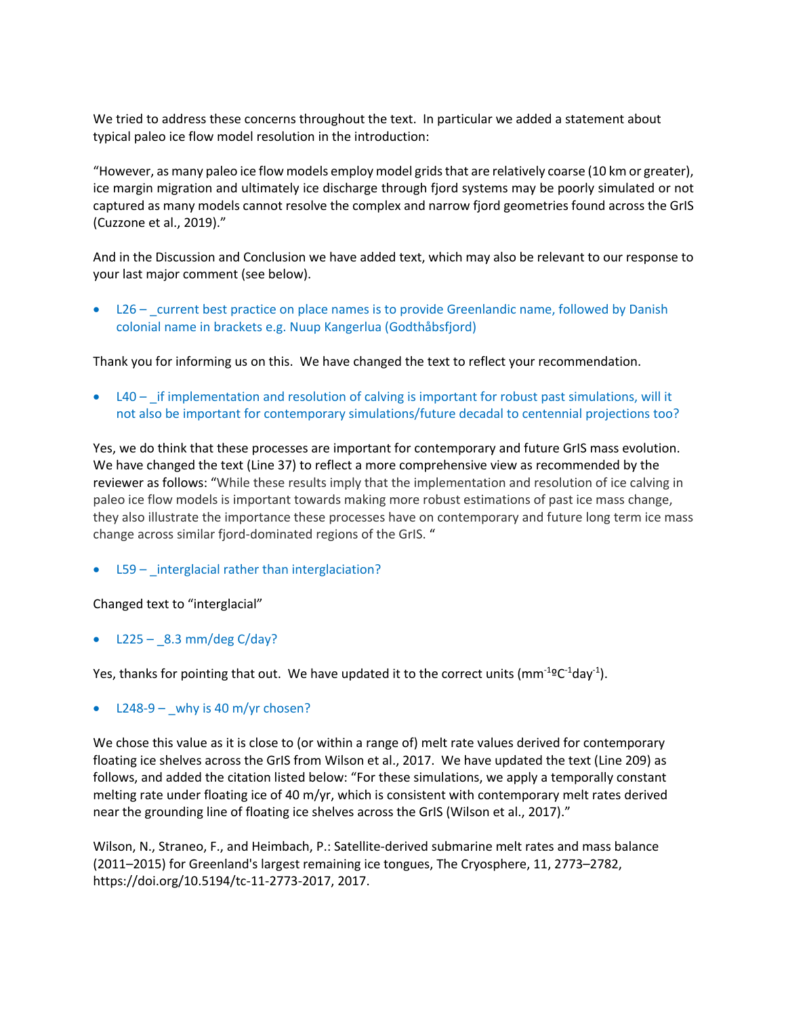We tried to address these concerns throughout the text. In particular we added a statement about typical paleo ice flow model resolution in the introduction:

"However, as many paleo ice flow models employ model grids that are relatively coarse (10 km or greater), ice margin migration and ultimately ice discharge through fjord systems may be poorly simulated or not captured as many models cannot resolve the complex and narrow fjord geometries found across the GrIS (Cuzzone et al., 2019)."

And in the Discussion and Conclusion we have added text, which may also be relevant to our response to your last major comment (see below).

• L26 – \_current best practice on place names is to provide Greenlandic name, followed by Danish colonial name in brackets e.g. Nuup Kangerlua (Godthåbsfjord)

Thank you for informing us on this. We have changed the text to reflect your recommendation.

• L40 – if implementation and resolution of calving is important for robust past simulations, will it not also be important for contemporary simulations/future decadal to centennial projections too?

Yes, we do think that these processes are important for contemporary and future GrIS mass evolution. We have changed the text (Line 37) to reflect a more comprehensive view as recommended by the reviewer as follows: "While these results imply that the implementation and resolution of ice calving in paleo ice flow models is important towards making more robust estimations of past ice mass change, they also illustrate the importance these processes have on contemporary and future long term ice mass change across similar fjord-dominated regions of the GrIS. "

 $\bullet$  L59 – interglacial rather than interglaciation?

Changed text to "interglacial"

•  $L225 - 8.3$  mm/deg C/day?

Yes, thanks for pointing that out. We have updated it to the correct units (mm<sup>-1o</sup>C<sup>-1</sup>day<sup>-1</sup>).

L248-9 – why is 40 m/yr chosen?

We chose this value as it is close to (or within a range of) melt rate values derived for contemporary floating ice shelves across the GrIS from Wilson et al., 2017. We have updated the text (Line 209) as follows, and added the citation listed below: "For these simulations, we apply a temporally constant melting rate under floating ice of 40 m/yr, which is consistent with contemporary melt rates derived near the grounding line of floating ice shelves across the GrIS (Wilson et al., 2017)."

Wilson, N., Straneo, F., and Heimbach, P.: Satellite-derived submarine melt rates and mass balance (2011–2015) for Greenland's largest remaining ice tongues, The Cryosphere, 11, 2773–2782, https://doi.org/10.5194/tc-11-2773-2017, 2017.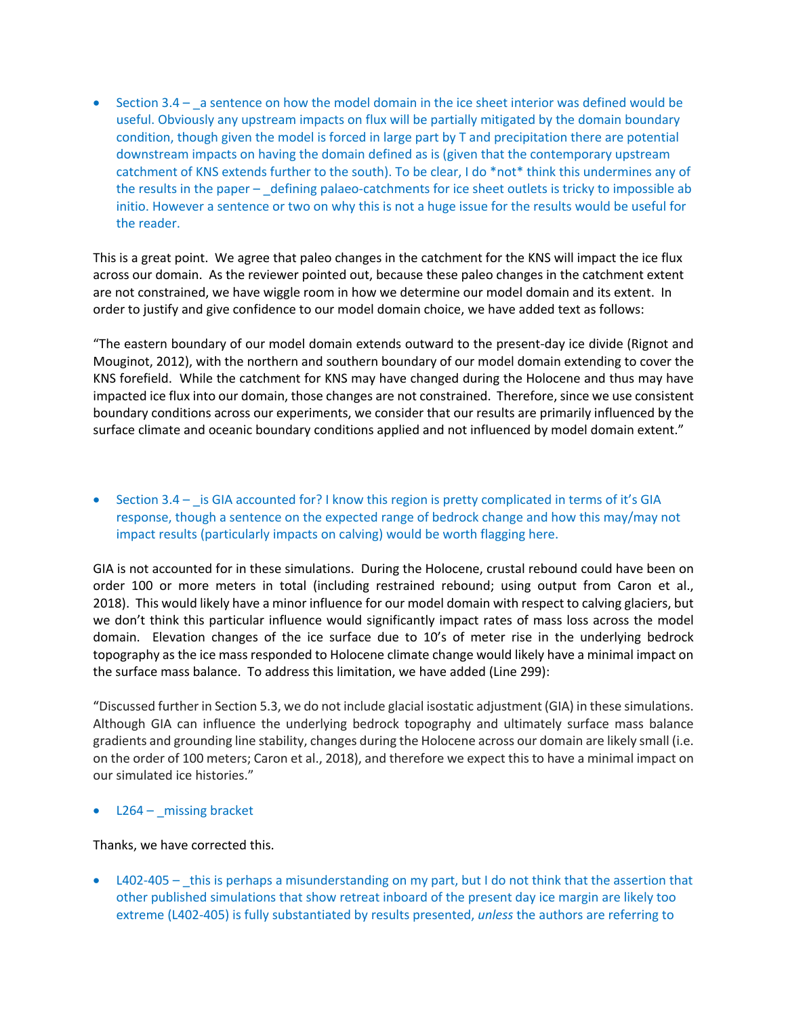• Section 3.4 – a sentence on how the model domain in the ice sheet interior was defined would be useful. Obviously any upstream impacts on flux will be partially mitigated by the domain boundary condition, though given the model is forced in large part by T and precipitation there are potential downstream impacts on having the domain defined as is (given that the contemporary upstream catchment of KNS extends further to the south). To be clear, I do \*not\* think this undermines any of the results in the paper – \_defining palaeo-catchments for ice sheet outlets is tricky to impossible ab initio. However a sentence or two on why this is not a huge issue for the results would be useful for the reader.

This is a great point. We agree that paleo changes in the catchment for the KNS will impact the ice flux across our domain. As the reviewer pointed out, because these paleo changes in the catchment extent are not constrained, we have wiggle room in how we determine our model domain and its extent. In order to justify and give confidence to our model domain choice, we have added text as follows:

"The eastern boundary of our model domain extends outward to the present-day ice divide (Rignot and Mouginot, 2012), with the northern and southern boundary of our model domain extending to cover the KNS forefield. While the catchment for KNS may have changed during the Holocene and thus may have impacted ice flux into our domain, those changes are not constrained. Therefore, since we use consistent boundary conditions across our experiments, we consider that our results are primarily influenced by the surface climate and oceanic boundary conditions applied and not influenced by model domain extent."

• Section 3.4 – \_ is GIA accounted for? I know this region is pretty complicated in terms of it's GIA response, though a sentence on the expected range of bedrock change and how this may/may not impact results (particularly impacts on calving) would be worth flagging here.

GIA is not accounted for in these simulations. During the Holocene, crustal rebound could have been on order 100 or more meters in total (including restrained rebound; using output from Caron et al., 2018). This would likely have a minor influence for our model domain with respect to calving glaciers, but we don't think this particular influence would significantly impact rates of mass loss across the model domain. Elevation changes of the ice surface due to 10's of meter rise in the underlying bedrock topography as the ice mass responded to Holocene climate change would likely have a minimal impact on the surface mass balance. To address this limitation, we have added (Line 299):

"Discussed further in Section 5.3, we do not include glacial isostatic adjustment (GIA) in these simulations. Although GIA can influence the underlying bedrock topography and ultimately surface mass balance gradients and grounding line stability, changes during the Holocene across our domain are likely small (i.e. on the order of 100 meters; Caron et al., 2018), and therefore we expect this to have a minimal impact on our simulated ice histories."

L264 – missing bracket

## Thanks, we have corrected this.

• L402-405 – this is perhaps a misunderstanding on my part, but I do not think that the assertion that other published simulations that show retreat inboard of the present day ice margin are likely too extreme (L402-405) is fully substantiated by results presented, *unless* the authors are referring to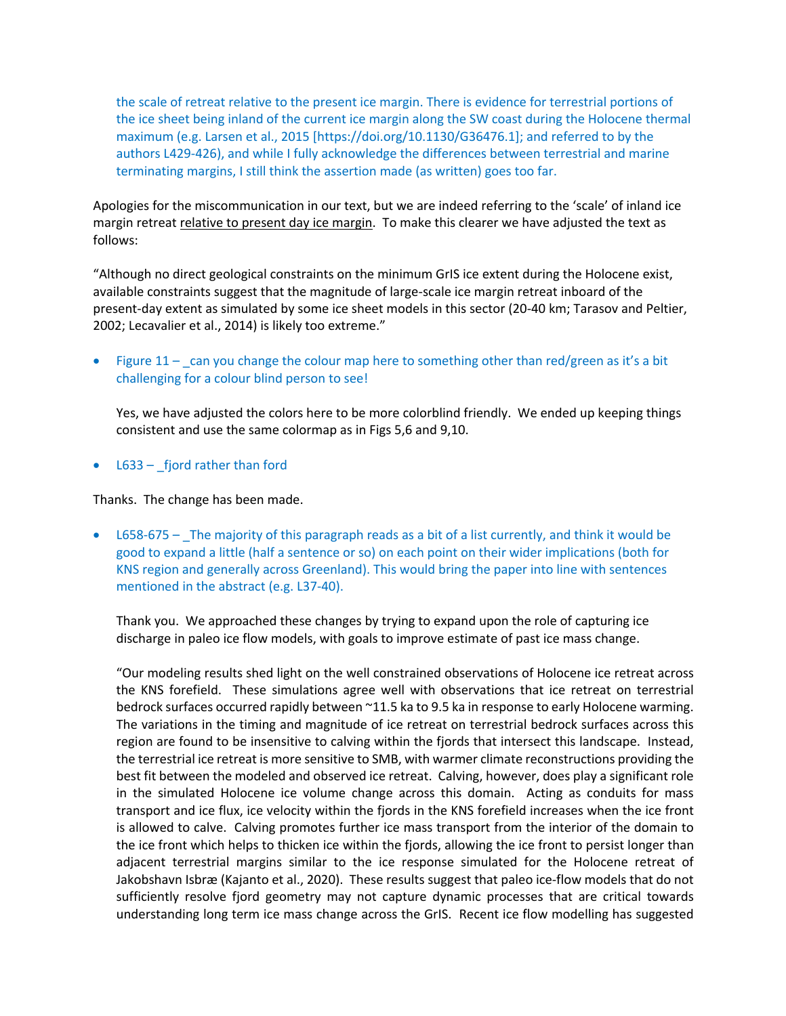the scale of retreat relative to the present ice margin. There is evidence for terrestrial portions of the ice sheet being inland of the current ice margin along the SW coast during the Holocene thermal maximum (e.g. Larsen et al., 2015 [https://doi.org/10.1130/G36476.1]; and referred to by the authors L429-426), and while I fully acknowledge the differences between terrestrial and marine terminating margins, I still think the assertion made (as written) goes too far.

Apologies for the miscommunication in our text, but we are indeed referring to the 'scale' of inland ice margin retreat relative to present day ice margin. To make this clearer we have adjusted the text as follows:

"Although no direct geological constraints on the minimum GrIS ice extent during the Holocene exist, available constraints suggest that the magnitude of large-scale ice margin retreat inboard of the present-day extent as simulated by some ice sheet models in this sector (20-40 km; Tarasov and Peltier, 2002; Lecavalier et al., 2014) is likely too extreme."

Figure  $11 - \text{ can you change the colour map here to something other than red/green as it's a bit.}$ challenging for a colour blind person to see!

Yes, we have adjusted the colors here to be more colorblind friendly. We ended up keeping things consistent and use the same colormap as in Figs 5,6 and 9,10.

 $L633 -$  fjord rather than ford

Thanks. The change has been made.

• L658-675 – The majority of this paragraph reads as a bit of a list currently, and think it would be good to expand a little (half a sentence or so) on each point on their wider implications (both for KNS region and generally across Greenland). This would bring the paper into line with sentences mentioned in the abstract (e.g. L37-40).

Thank you. We approached these changes by trying to expand upon the role of capturing ice discharge in paleo ice flow models, with goals to improve estimate of past ice mass change.

"Our modeling results shed light on the well constrained observations of Holocene ice retreat across the KNS forefield. These simulations agree well with observations that ice retreat on terrestrial bedrock surfaces occurred rapidly between ~11.5 ka to 9.5 ka in response to early Holocene warming. The variations in the timing and magnitude of ice retreat on terrestrial bedrock surfaces across this region are found to be insensitive to calving within the fjords that intersect this landscape. Instead, the terrestrial ice retreat is more sensitive to SMB, with warmer climate reconstructions providing the best fit between the modeled and observed ice retreat. Calving, however, does play a significant role in the simulated Holocene ice volume change across this domain. Acting as conduits for mass transport and ice flux, ice velocity within the fjords in the KNS forefield increases when the ice front is allowed to calve. Calving promotes further ice mass transport from the interior of the domain to the ice front which helps to thicken ice within the fjords, allowing the ice front to persist longer than adjacent terrestrial margins similar to the ice response simulated for the Holocene retreat of Jakobshavn Isbræ (Kajanto et al., 2020). These results suggest that paleo ice-flow models that do not sufficiently resolve fjord geometry may not capture dynamic processes that are critical towards understanding long term ice mass change across the GrIS. Recent ice flow modelling has suggested